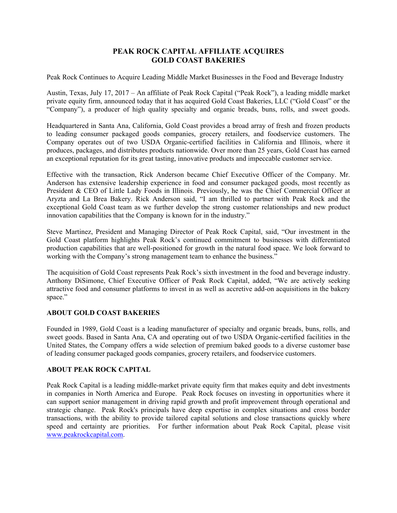## **PEAK ROCK CAPITAL AFFILIATE ACQUIRES GOLD COAST BAKERIES**

Peak Rock Continues to Acquire Leading Middle Market Businesses in the Food and Beverage Industry

Austin, Texas, July 17, 2017 – An affiliate of Peak Rock Capital ("Peak Rock"), a leading middle market private equity firm, announced today that it has acquired Gold Coast Bakeries, LLC ("Gold Coast" or the "Company"), a producer of high quality specialty and organic breads, buns, rolls, and sweet goods.

Headquartered in Santa Ana, California, Gold Coast provides a broad array of fresh and frozen products to leading consumer packaged goods companies, grocery retailers, and foodservice customers. The Company operates out of two USDA Organic-certified facilities in California and Illinois, where it produces, packages, and distributes products nationwide. Over more than 25 years, Gold Coast has earned an exceptional reputation for its great tasting, innovative products and impeccable customer service.

Effective with the transaction, Rick Anderson became Chief Executive Officer of the Company. Mr. Anderson has extensive leadership experience in food and consumer packaged goods, most recently as President & CEO of Little Lady Foods in Illinois. Previously, he was the Chief Commercial Officer at Aryzta and La Brea Bakery. Rick Anderson said, "I am thrilled to partner with Peak Rock and the exceptional Gold Coast team as we further develop the strong customer relationships and new product innovation capabilities that the Company is known for in the industry."

Steve Martinez, President and Managing Director of Peak Rock Capital, said, "Our investment in the Gold Coast platform highlights Peak Rock's continued commitment to businesses with differentiated production capabilities that are well-positioned for growth in the natural food space. We look forward to working with the Company's strong management team to enhance the business."

The acquisition of Gold Coast represents Peak Rock's sixth investment in the food and beverage industry. Anthony DiSimone, Chief Executive Officer of Peak Rock Capital, added, "We are actively seeking attractive food and consumer platforms to invest in as well as accretive add-on acquisitions in the bakery space."

## **ABOUT GOLD COAST BAKERIES**

Founded in 1989, Gold Coast is a leading manufacturer of specialty and organic breads, buns, rolls, and sweet goods. Based in Santa Ana, CA and operating out of two USDA Organic-certified facilities in the United States, the Company offers a wide selection of premium baked goods to a diverse customer base of leading consumer packaged goods companies, grocery retailers, and foodservice customers.

## **ABOUT PEAK ROCK CAPITAL**

Peak Rock Capital is a leading middle-market private equity firm that makes equity and debt investments in companies in North America and Europe. Peak Rock focuses on investing in opportunities where it can support senior management in driving rapid growth and profit improvement through operational and strategic change. Peak Rock's principals have deep expertise in complex situations and cross border transactions, with the ability to provide tailored capital solutions and close transactions quickly where speed and certainty are priorities. For further information about Peak Rock Capital, please visit www.peakrockcapital.com.